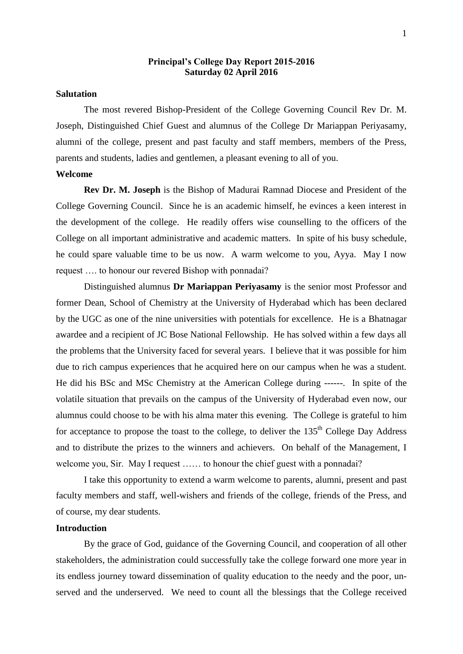### **Principal's College Day Report 2015-2016 Saturday 02 April 2016**

# **Salutation**

The most revered Bishop-President of the College Governing Council Rev Dr. M. Joseph, Distinguished Chief Guest and alumnus of the College Dr Mariappan Periyasamy, alumni of the college, present and past faculty and staff members, members of the Press, parents and students, ladies and gentlemen, a pleasant evening to all of you.

#### **Welcome**

**Rev Dr. M. Joseph** is the Bishop of Madurai Ramnad Diocese and President of the College Governing Council. Since he is an academic himself, he evinces a keen interest in the development of the college. He readily offers wise counselling to the officers of the College on all important administrative and academic matters. In spite of his busy schedule, he could spare valuable time to be us now. A warm welcome to you, Ayya. May I now request …. to honour our revered Bishop with ponnadai?

Distinguished alumnus **Dr Mariappan Periyasamy** is the senior most Professor and former Dean, School of Chemistry at the University of Hyderabad which has been declared by the UGC as one of the nine universities with potentials for excellence. He is a Bhatnagar awardee and a recipient of JC Bose National Fellowship. He has solved within a few days all the problems that the University faced for several years. I believe that it was possible for him due to rich campus experiences that he acquired here on our campus when he was a student. He did his BSc and MSc Chemistry at the American College during ------. In spite of the volatile situation that prevails on the campus of the University of Hyderabad even now, our alumnus could choose to be with his alma mater this evening. The College is grateful to him for acceptance to propose the toast to the college, to deliver the 135<sup>th</sup> College Day Address and to distribute the prizes to the winners and achievers. On behalf of the Management, I welcome you, Sir. May I request …… to honour the chief guest with a ponnadai?

I take this opportunity to extend a warm welcome to parents, alumni, present and past faculty members and staff, well-wishers and friends of the college, friends of the Press, and of course, my dear students.

# **Introduction**

By the grace of God, guidance of the Governing Council, and cooperation of all other stakeholders, the administration could successfully take the college forward one more year in its endless journey toward dissemination of quality education to the needy and the poor, unserved and the underserved. We need to count all the blessings that the College received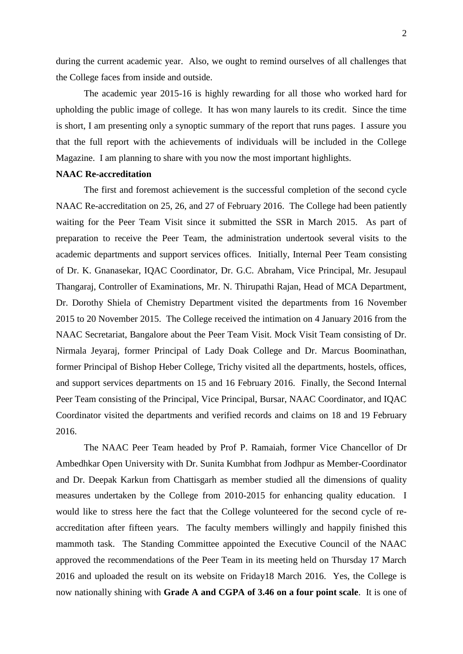during the current academic year. Also, we ought to remind ourselves of all challenges that the College faces from inside and outside.

The academic year 2015-16 is highly rewarding for all those who worked hard for upholding the public image of college. It has won many laurels to its credit. Since the time is short, I am presenting only a synoptic summary of the report that runs pages. I assure you that the full report with the achievements of individuals will be included in the College Magazine. I am planning to share with you now the most important highlights.

#### **NAAC Re-accreditation**

The first and foremost achievement is the successful completion of the second cycle NAAC Re-accreditation on 25, 26, and 27 of February 2016. The College had been patiently waiting for the Peer Team Visit since it submitted the SSR in March 2015. As part of preparation to receive the Peer Team, the administration undertook several visits to the academic departments and support services offices. Initially, Internal Peer Team consisting of Dr. K. Gnanasekar, IQAC Coordinator, Dr. G.C. Abraham, Vice Principal, Mr. Jesupaul Thangaraj, Controller of Examinations, Mr. N. Thirupathi Rajan, Head of MCA Department, Dr. Dorothy Shiela of Chemistry Department visited the departments from 16 November 2015 to 20 November 2015. The College received the intimation on 4 January 2016 from the NAAC Secretariat, Bangalore about the Peer Team Visit. Mock Visit Team consisting of Dr. Nirmala Jeyaraj, former Principal of Lady Doak College and Dr. Marcus Boominathan, former Principal of Bishop Heber College, Trichy visited all the departments, hostels, offices, and support services departments on 15 and 16 February 2016. Finally, the Second Internal Peer Team consisting of the Principal, Vice Principal, Bursar, NAAC Coordinator, and IQAC Coordinator visited the departments and verified records and claims on 18 and 19 February 2016.

The NAAC Peer Team headed by Prof P. Ramaiah, former Vice Chancellor of Dr Ambedhkar Open University with Dr. Sunita Kumbhat from Jodhpur as Member-Coordinator and Dr. Deepak Karkun from Chattisgarh as member studied all the dimensions of quality measures undertaken by the College from 2010-2015 for enhancing quality education. I would like to stress here the fact that the College volunteered for the second cycle of reaccreditation after fifteen years. The faculty members willingly and happily finished this mammoth task. The Standing Committee appointed the Executive Council of the NAAC approved the recommendations of the Peer Team in its meeting held on Thursday 17 March 2016 and uploaded the result on its website on Friday18 March 2016. Yes, the College is now nationally shining with **Grade A and CGPA of 3.46 on a four point scale**. It is one of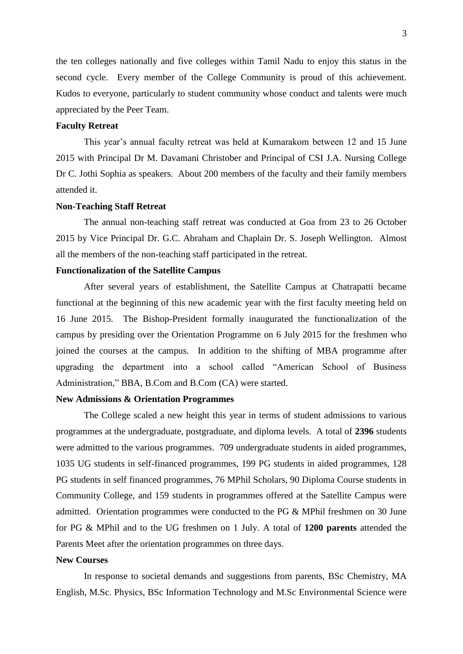the ten colleges nationally and five colleges within Tamil Nadu to enjoy this status in the second cycle. Every member of the College Community is proud of this achievement. Kudos to everyone, particularly to student community whose conduct and talents were much appreciated by the Peer Team.

# **Faculty Retreat**

This year's annual faculty retreat was held at Kumarakom between 12 and 15 June 2015 with Principal Dr M. Davamani Christober and Principal of CSI J.A. Nursing College Dr C. Jothi Sophia as speakers. About 200 members of the faculty and their family members attended it.

# **Non-Teaching Staff Retreat**

The annual non-teaching staff retreat was conducted at Goa from 23 to 26 October 2015 by Vice Principal Dr. G.C. Abraham and Chaplain Dr. S. Joseph Wellington. Almost all the members of the non-teaching staff participated in the retreat.

### **Functionalization of the Satellite Campus**

After several years of establishment, the Satellite Campus at Chatrapatti became functional at the beginning of this new academic year with the first faculty meeting held on 16 June 2015. The Bishop-President formally inaugurated the functionalization of the campus by presiding over the Orientation Programme on 6 July 2015 for the freshmen who joined the courses at the campus. In addition to the shifting of MBA programme after upgrading the department into a school called "American School of Business Administration," BBA, B.Com and B.Com (CA) were started.

#### **New Admissions & Orientation Programmes**

The College scaled a new height this year in terms of student admissions to various programmes at the undergraduate, postgraduate, and diploma levels. A total of **2396** students were admitted to the various programmes. 709 undergraduate students in aided programmes, 1035 UG students in self-financed programmes, 199 PG students in aided programmes, 128 PG students in self financed programmes, 76 MPhil Scholars, 90 Diploma Course students in Community College, and 159 students in programmes offered at the Satellite Campus were admitted. Orientation programmes were conducted to the PG & MPhil freshmen on 30 June for PG & MPhil and to the UG freshmen on 1 July. A total of **1200 parents** attended the Parents Meet after the orientation programmes on three days.

#### **New Courses**

In response to societal demands and suggestions from parents, BSc Chemistry, MA English, M.Sc. Physics, BSc Information Technology and M.Sc Environmental Science were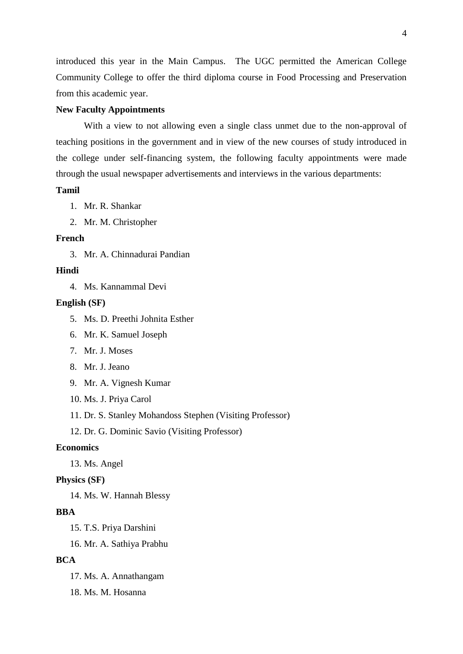introduced this year in the Main Campus. The UGC permitted the American College Community College to offer the third diploma course in Food Processing and Preservation from this academic year.

### **New Faculty Appointments**

With a view to not allowing even a single class unmet due to the non-approval of teaching positions in the government and in view of the new courses of study introduced in the college under self-financing system, the following faculty appointments were made through the usual newspaper advertisements and interviews in the various departments:

# **Tamil**

1. Mr. R. Shankar

2. Mr. M. Christopher

# **French**

3. Mr. A. Chinnadurai Pandian

# **Hindi**

4. Ms. Kannammal Devi

### **English (SF)**

- 5. Ms. D. Preethi Johnita Esther
- 6. Mr. K. Samuel Joseph
- 7. Mr. J. Moses
- 8. Mr. J. Jeano
- 9. Mr. A. Vignesh Kumar
- 10. Ms. J. Priya Carol
- 11. Dr. S. Stanley Mohandoss Stephen (Visiting Professor)

12. Dr. G. Dominic Savio (Visiting Professor)

# **Economics**

13. Ms. Angel

### **Physics (SF)**

14. Ms. W. Hannah Blessy

# **BBA**

15. T.S. Priya Darshini

16. Mr. A. Sathiya Prabhu

# **BCA**

- 17. Ms. A. Annathangam
- 18. Ms. M. Hosanna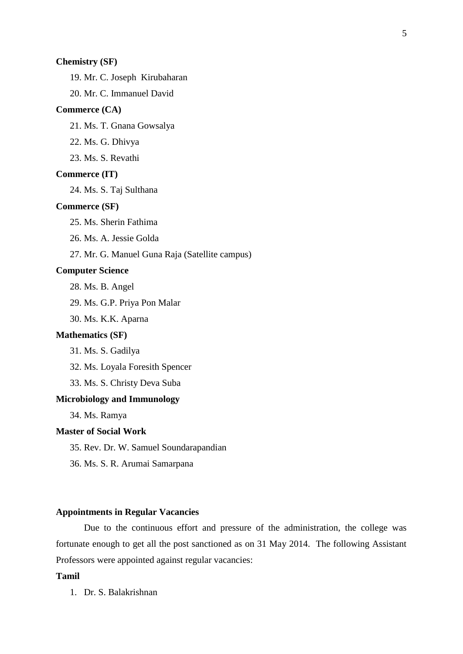### **Chemistry (SF)**

19. Mr. C. Joseph Kirubaharan

20. Mr. C. Immanuel David

# **Commerce (CA)**

21. Ms. T. Gnana Gowsalya

22. Ms. G. Dhivya

23. Ms. S. Revathi

#### **Commerce (IT)**

24. Ms. S. Taj Sulthana

#### **Commerce (SF)**

25. Ms. Sherin Fathima

26. Ms. A. Jessie Golda

27. Mr. G. Manuel Guna Raja (Satellite campus)

### **Computer Science**

28. Ms. B. Angel

29. Ms. G.P. Priya Pon Malar

30. Ms. K.K. Aparna

### **Mathematics (SF)**

31. Ms. S. Gadilya

32. Ms. Loyala Foresith Spencer

33. Ms. S. Christy Deva Suba

# **Microbiology and Immunology**

34. Ms. Ramya

# **Master of Social Work**

- 35. Rev. Dr. W. Samuel Soundarapandian
- 36. Ms. S. R. Arumai Samarpana

# **Appointments in Regular Vacancies**

Due to the continuous effort and pressure of the administration, the college was fortunate enough to get all the post sanctioned as on 31 May 2014. The following Assistant Professors were appointed against regular vacancies:

# **Tamil**

1. Dr. S. Balakrishnan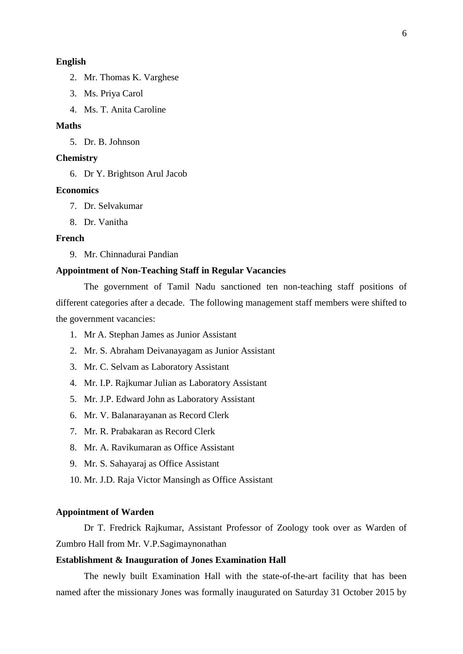# **English**

- 2. Mr. Thomas K. Varghese
- 3. Ms. Priya Carol
- 4. Ms. T. Anita Caroline

# **Maths**

5. Dr. B. Johnson

### **Chemistry**

6. Dr Y. Brightson Arul Jacob

#### **Economics**

- 7. Dr. Selvakumar
- 8. Dr. Vanitha

# **French**

9. Mr. Chinnadurai Pandian

# **Appointment of Non-Teaching Staff in Regular Vacancies**

The government of Tamil Nadu sanctioned ten non-teaching staff positions of different categories after a decade. The following management staff members were shifted to the government vacancies:

- 1. Mr A. Stephan James as Junior Assistant
- 2. Mr. S. Abraham Deivanayagam as Junior Assistant
- 3. Mr. C. Selvam as Laboratory Assistant
- 4. Mr. I.P. Rajkumar Julian as Laboratory Assistant
- 5. Mr. J.P. Edward John as Laboratory Assistant
- 6. Mr. V. Balanarayanan as Record Clerk
- 7. Mr. R. Prabakaran as Record Clerk
- 8. Mr. A. Ravikumaran as Office Assistant
- 9. Mr. S. Sahayaraj as Office Assistant
- 10. Mr. J.D. Raja Victor Mansingh as Office Assistant

# **Appointment of Warden**

Dr T. Fredrick Rajkumar, Assistant Professor of Zoology took over as Warden of Zumbro Hall from Mr. V.P.Sagimaynonathan

## **Establishment & Inauguration of Jones Examination Hall**

The newly built Examination Hall with the state-of-the-art facility that has been named after the missionary Jones was formally inaugurated on Saturday 31 October 2015 by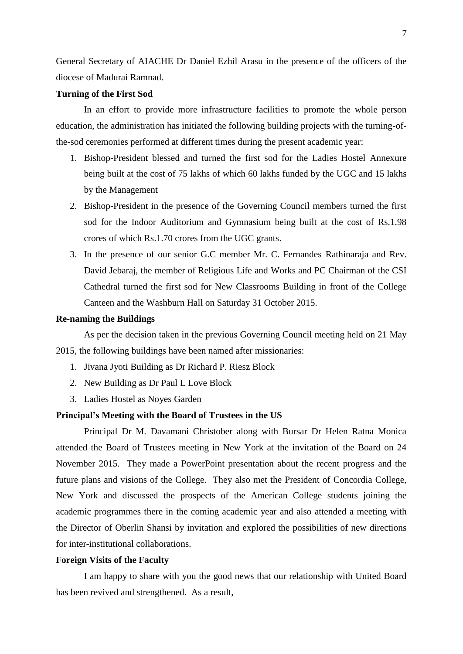General Secretary of AIACHE Dr Daniel Ezhil Arasu in the presence of the officers of the diocese of Madurai Ramnad.

### **Turning of the First Sod**

In an effort to provide more infrastructure facilities to promote the whole person education, the administration has initiated the following building projects with the turning-ofthe-sod ceremonies performed at different times during the present academic year:

- 1. Bishop-President blessed and turned the first sod for the Ladies Hostel Annexure being built at the cost of 75 lakhs of which 60 lakhs funded by the UGC and 15 lakhs by the Management
- 2. Bishop-President in the presence of the Governing Council members turned the first sod for the Indoor Auditorium and Gymnasium being built at the cost of Rs.1.98 crores of which Rs.1.70 crores from the UGC grants.
- 3. In the presence of our senior G.C member Mr. C. Fernandes Rathinaraja and Rev. David Jebaraj, the member of Religious Life and Works and PC Chairman of the CSI Cathedral turned the first sod for New Classrooms Building in front of the College Canteen and the Washburn Hall on Saturday 31 October 2015.

# **Re-naming the Buildings**

As per the decision taken in the previous Governing Council meeting held on 21 May 2015, the following buildings have been named after missionaries:

- 1. Jivana Jyoti Building as Dr Richard P. Riesz Block
- 2. New Building as Dr Paul L Love Block
- 3. Ladies Hostel as Noyes Garden

# **Principal's Meeting with the Board of Trustees in the US**

Principal Dr M. Davamani Christober along with Bursar Dr Helen Ratna Monica attended the Board of Trustees meeting in New York at the invitation of the Board on 24 November 2015. They made a PowerPoint presentation about the recent progress and the future plans and visions of the College. They also met the President of Concordia College, New York and discussed the prospects of the American College students joining the academic programmes there in the coming academic year and also attended a meeting with the Director of Oberlin Shansi by invitation and explored the possibilities of new directions for inter-institutional collaborations.

#### **Foreign Visits of the Faculty**

I am happy to share with you the good news that our relationship with United Board has been revived and strengthened. As a result,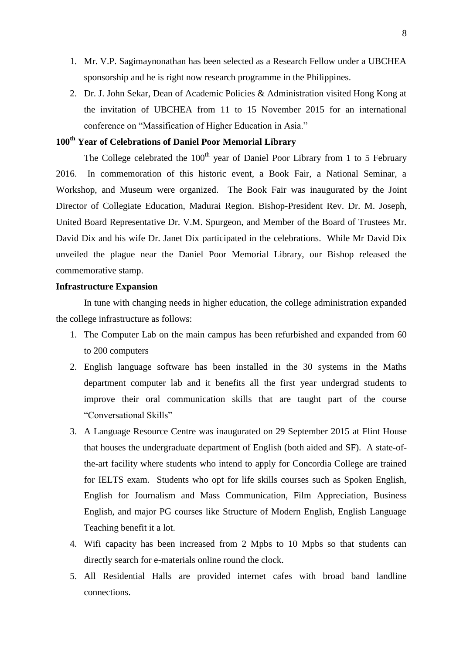- 1. Mr. V.P. Sagimaynonathan has been selected as a Research Fellow under a UBCHEA sponsorship and he is right now research programme in the Philippines.
- 2. Dr. J. John Sekar, Dean of Academic Policies & Administration visited Hong Kong at the invitation of UBCHEA from 11 to 15 November 2015 for an international conference on "Massification of Higher Education in Asia."

# **100th Year of Celebrations of Daniel Poor Memorial Library**

The College celebrated the  $100<sup>th</sup>$  year of Daniel Poor Library from 1 to 5 February 2016. In commemoration of this historic event, a Book Fair, a National Seminar, a Workshop, and Museum were organized. The Book Fair was inaugurated by the Joint Director of Collegiate Education, Madurai Region. Bishop-President Rev. Dr. M. Joseph, United Board Representative Dr. V.M. Spurgeon, and Member of the Board of Trustees Mr. David Dix and his wife Dr. Janet Dix participated in the celebrations. While Mr David Dix unveiled the plague near the Daniel Poor Memorial Library, our Bishop released the commemorative stamp.

### **Infrastructure Expansion**

In tune with changing needs in higher education, the college administration expanded the college infrastructure as follows:

- 1. The Computer Lab on the main campus has been refurbished and expanded from 60 to 200 computers
- 2. English language software has been installed in the 30 systems in the Maths department computer lab and it benefits all the first year undergrad students to improve their oral communication skills that are taught part of the course "Conversational Skills"
- 3. A Language Resource Centre was inaugurated on 29 September 2015 at Flint House that houses the undergraduate department of English (both aided and SF). A state-ofthe-art facility where students who intend to apply for Concordia College are trained for IELTS exam. Students who opt for life skills courses such as Spoken English, English for Journalism and Mass Communication, Film Appreciation, Business English, and major PG courses like Structure of Modern English, English Language Teaching benefit it a lot.
- 4. Wifi capacity has been increased from 2 Mpbs to 10 Mpbs so that students can directly search for e-materials online round the clock.
- 5. All Residential Halls are provided internet cafes with broad band landline connections.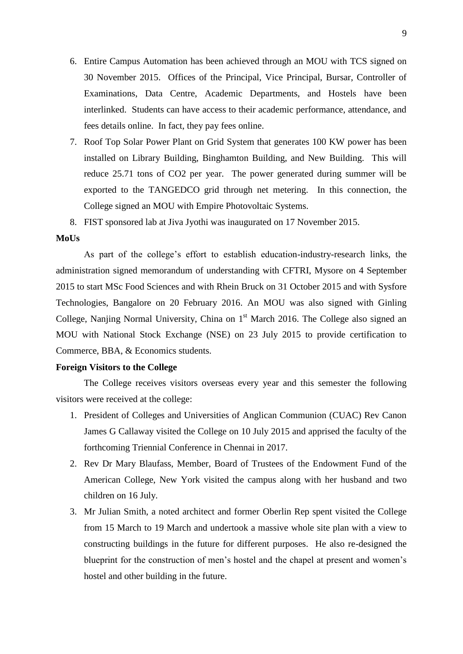- 6. Entire Campus Automation has been achieved through an MOU with TCS signed on 30 November 2015. Offices of the Principal, Vice Principal, Bursar, Controller of Examinations, Data Centre, Academic Departments, and Hostels have been interlinked. Students can have access to their academic performance, attendance, and fees details online. In fact, they pay fees online.
- 7. Roof Top Solar Power Plant on Grid System that generates 100 KW power has been installed on Library Building, Binghamton Building, and New Building. This will reduce 25.71 tons of CO2 per year. The power generated during summer will be exported to the TANGEDCO grid through net metering. In this connection, the College signed an MOU with Empire Photovoltaic Systems.
- 8. FIST sponsored lab at Jiva Jyothi was inaugurated on 17 November 2015.

#### **MoUs**

As part of the college's effort to establish education-industry-research links, the administration signed memorandum of understanding with CFTRI, Mysore on 4 September 2015 to start MSc Food Sciences and with Rhein Bruck on 31 October 2015 and with Sysfore Technologies, Bangalore on 20 February 2016. An MOU was also signed with Ginling College, Nanjing Normal University, China on  $1<sup>st</sup>$  March 2016. The College also signed an MOU with National Stock Exchange (NSE) on 23 July 2015 to provide certification to Commerce, BBA, & Economics students.

# **Foreign Visitors to the College**

The College receives visitors overseas every year and this semester the following visitors were received at the college:

- 1. President of Colleges and Universities of Anglican Communion (CUAC) Rev Canon James G Callaway visited the College on 10 July 2015 and apprised the faculty of the forthcoming Triennial Conference in Chennai in 2017.
- 2. Rev Dr Mary Blaufass, Member, Board of Trustees of the Endowment Fund of the American College, New York visited the campus along with her husband and two children on 16 July.
- 3. Mr Julian Smith, a noted architect and former Oberlin Rep spent visited the College from 15 March to 19 March and undertook a massive whole site plan with a view to constructing buildings in the future for different purposes. He also re-designed the blueprint for the construction of men's hostel and the chapel at present and women's hostel and other building in the future.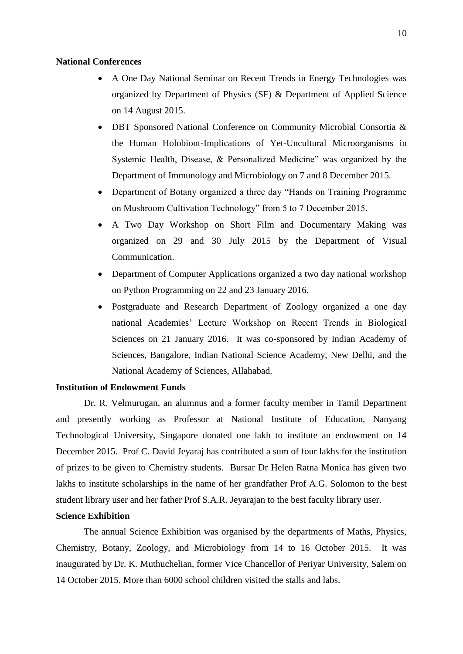#### **National Conferences**

- A One Day National Seminar on Recent Trends in Energy Technologies was organized by Department of Physics (SF) & Department of Applied Science on 14 August 2015.
- DBT Sponsored National Conference on Community Microbial Consortia & the Human Holobiont-Implications of Yet-Uncultural Microorganisms in Systemic Health, Disease, & Personalized Medicine" was organized by the Department of Immunology and Microbiology on 7 and 8 December 2015.
- Department of Botany organized a three day "Hands on Training Programme on Mushroom Cultivation Technology" from 5 to 7 December 2015.
- A Two Day Workshop on Short Film and Documentary Making was organized on 29 and 30 July 2015 by the Department of Visual Communication.
- Department of Computer Applications organized a two day national workshop on Python Programming on 22 and 23 January 2016.
- Postgraduate and Research Department of Zoology organized a one day national Academies' Lecture Workshop on Recent Trends in Biological Sciences on 21 January 2016. It was co-sponsored by Indian Academy of Sciences, Bangalore, Indian National Science Academy, New Delhi, and the National Academy of Sciences, Allahabad.

# **Institution of Endowment Funds**

Dr. R. Velmurugan, an alumnus and a former faculty member in Tamil Department and presently working as Professor at National Institute of Education, Nanyang Technological University, Singapore donated one lakh to institute an endowment on 14 December 2015. Prof C. David Jeyaraj has contributed a sum of four lakhs for the institution of prizes to be given to Chemistry students. Bursar Dr Helen Ratna Monica has given two lakhs to institute scholarships in the name of her grandfather Prof A.G. Solomon to the best student library user and her father Prof S.A.R. Jeyarajan to the best faculty library user.

### **Science Exhibition**

The annual Science Exhibition was organised by the departments of Maths, Physics, Chemistry, Botany, Zoology, and Microbiology from 14 to 16 October 2015. It was inaugurated by Dr. K. Muthuchelian, former Vice Chancellor of Periyar University, Salem on 14 October 2015. More than 6000 school children visited the stalls and labs.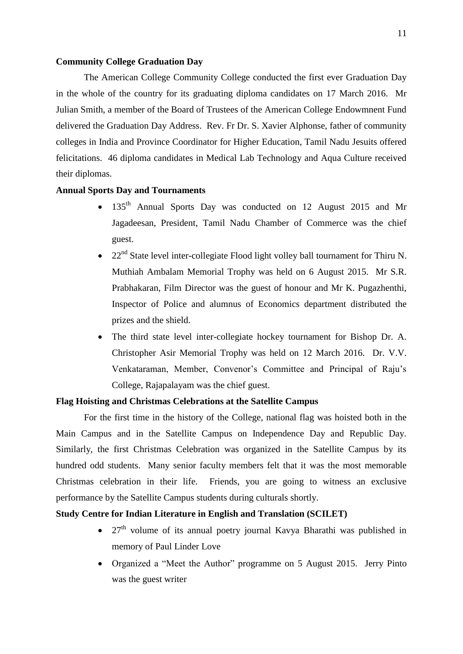#### **Community College Graduation Day**

The American College Community College conducted the first ever Graduation Day in the whole of the country for its graduating diploma candidates on 17 March 2016. Mr Julian Smith, a member of the Board of Trustees of the American College Endowmnent Fund delivered the Graduation Day Address. Rev. Fr Dr. S. Xavier Alphonse, father of community colleges in India and Province Coordinator for Higher Education, Tamil Nadu Jesuits offered felicitations. 46 diploma candidates in Medical Lab Technology and Aqua Culture received their diplomas.

#### **Annual Sports Day and Tournaments**

- 135<sup>th</sup> Annual Sports Day was conducted on 12 August 2015 and Mr Jagadeesan, President, Tamil Nadu Chamber of Commerce was the chief guest.
- 22<sup>nd</sup> State level inter-collegiate Flood light volley ball tournament for Thiru N. Muthiah Ambalam Memorial Trophy was held on 6 August 2015. Mr S.R. Prabhakaran, Film Director was the guest of honour and Mr K. Pugazhenthi, Inspector of Police and alumnus of Economics department distributed the prizes and the shield.
- The third state level inter-collegiate hockey tournament for Bishop Dr. A. Christopher Asir Memorial Trophy was held on 12 March 2016. Dr. V.V. Venkataraman, Member, Convenor's Committee and Principal of Raju's College, Rajapalayam was the chief guest.

### **Flag Hoisting and Christmas Celebrations at the Satellite Campus**

For the first time in the history of the College, national flag was hoisted both in the Main Campus and in the Satellite Campus on Independence Day and Republic Day. Similarly, the first Christmas Celebration was organized in the Satellite Campus by its hundred odd students. Many senior faculty members felt that it was the most memorable Christmas celebration in their life. Friends, you are going to witness an exclusive performance by the Satellite Campus students during culturals shortly.

# **Study Centre for Indian Literature in English and Translation (SCILET)**

- $27<sup>th</sup>$  volume of its annual poetry journal Kavya Bharathi was published in memory of Paul Linder Love
- Organized a "Meet the Author" programme on 5 August 2015. Jerry Pinto was the guest writer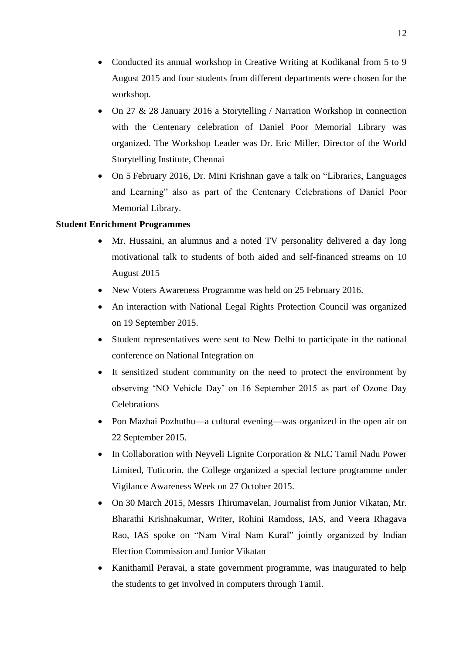- Conducted its annual workshop in Creative Writing at Kodikanal from 5 to 9 August 2015 and four students from different departments were chosen for the workshop.
- On 27 & 28 January 2016 a Storytelling / Narration Workshop in connection with the Centenary celebration of Daniel Poor Memorial Library was organized. The Workshop Leader was Dr. Eric Miller, Director of the World Storytelling Institute, Chennai
- On 5 February 2016, Dr. Mini Krishnan gave a talk on "Libraries, Languages and Learning" also as part of the Centenary Celebrations of Daniel Poor Memorial Library.

# **Student Enrichment Programmes**

- Mr. Hussaini, an alumnus and a noted TV personality delivered a day long motivational talk to students of both aided and self-financed streams on 10 August 2015
- New Voters Awareness Programme was held on 25 February 2016.
- An interaction with National Legal Rights Protection Council was organized on 19 September 2015.
- Student representatives were sent to New Delhi to participate in the national conference on National Integration on
- It sensitized student community on the need to protect the environment by observing 'NO Vehicle Day' on 16 September 2015 as part of Ozone Day **Celebrations**
- Pon Mazhai Pozhuthu—a cultural evening—was organized in the open air on 22 September 2015.
- In Collaboration with Neyveli Lignite Corporation & NLC Tamil Nadu Power Limited, Tuticorin, the College organized a special lecture programme under Vigilance Awareness Week on 27 October 2015.
- On 30 March 2015, Messrs Thirumavelan, Journalist from Junior Vikatan, Mr. Bharathi Krishnakumar, Writer, Rohini Ramdoss, IAS, and Veera Rhagava Rao, IAS spoke on "Nam Viral Nam Kural" jointly organized by Indian Election Commission and Junior Vikatan
- Kanithamil Peravai, a state government programme, was inaugurated to help the students to get involved in computers through Tamil.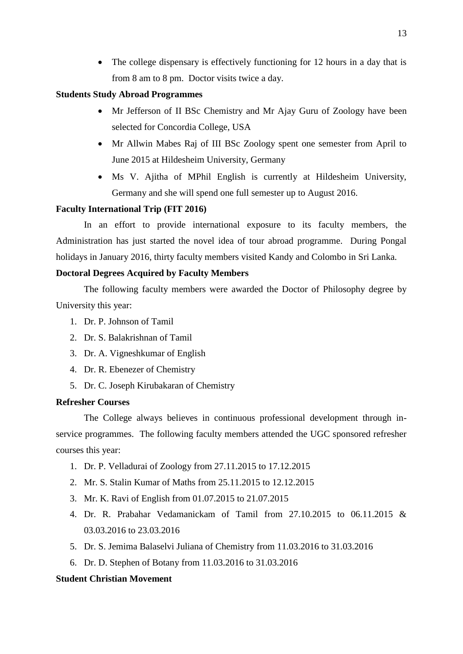• The college dispensary is effectively functioning for 12 hours in a day that is from 8 am to 8 pm. Doctor visits twice a day.

# **Students Study Abroad Programmes**

- Mr Jefferson of II BSc Chemistry and Mr Ajay Guru of Zoology have been selected for Concordia College, USA
- Mr Allwin Mabes Raj of III BSc Zoology spent one semester from April to June 2015 at Hildesheim University, Germany
- Ms V. Ajitha of MPhil English is currently at Hildesheim University, Germany and she will spend one full semester up to August 2016.

# **Faculty International Trip (FIT 2016)**

In an effort to provide international exposure to its faculty members, the Administration has just started the novel idea of tour abroad programme. During Pongal holidays in January 2016, thirty faculty members visited Kandy and Colombo in Sri Lanka.

# **Doctoral Degrees Acquired by Faculty Members**

The following faculty members were awarded the Doctor of Philosophy degree by University this year:

- 1. Dr. P. Johnson of Tamil
- 2. Dr. S. Balakrishnan of Tamil
- 3. Dr. A. Vigneshkumar of English
- 4. Dr. R. Ebenezer of Chemistry
- 5. Dr. C. Joseph Kirubakaran of Chemistry

# **Refresher Courses**

The College always believes in continuous professional development through inservice programmes. The following faculty members attended the UGC sponsored refresher courses this year:

- 1. Dr. P. Velladurai of Zoology from 27.11.2015 to 17.12.2015
- 2. Mr. S. Stalin Kumar of Maths from 25.11.2015 to 12.12.2015
- 3. Mr. K. Ravi of English from 01.07.2015 to 21.07.2015
- 4. Dr. R. Prabahar Vedamanickam of Tamil from 27.10.2015 to 06.11.2015 & 03.03.2016 to 23.03.2016
- 5. Dr. S. Jemima Balaselvi Juliana of Chemistry from 11.03.2016 to 31.03.2016
- 6. Dr. D. Stephen of Botany from 11.03.2016 to 31.03.2016

# **Student Christian Movement**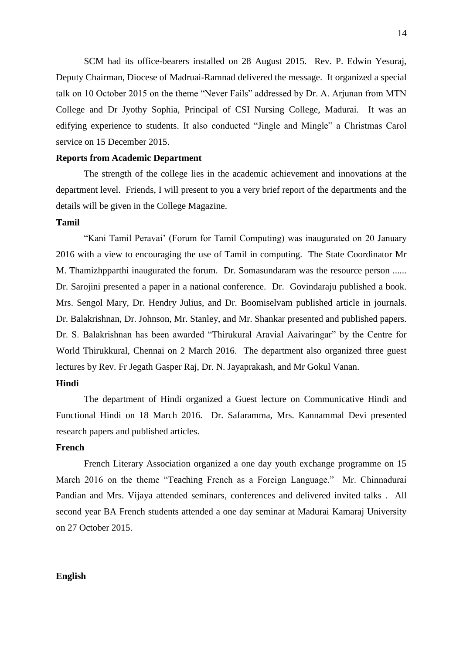SCM had its office-bearers installed on 28 August 2015. Rev. P. Edwin Yesuraj, Deputy Chairman, Diocese of Madruai-Ramnad delivered the message. It organized a special talk on 10 October 2015 on the theme "Never Fails" addressed by Dr. A. Arjunan from MTN College and Dr Jyothy Sophia, Principal of CSI Nursing College, Madurai. It was an edifying experience to students. It also conducted "Jingle and Mingle" a Christmas Carol service on 15 December 2015.

#### **Reports from Academic Department**

The strength of the college lies in the academic achievement and innovations at the department level. Friends, I will present to you a very brief report of the departments and the details will be given in the College Magazine.

### **Tamil**

"Kani Tamil Peravai' (Forum for Tamil Computing) was inaugurated on 20 January 2016 with a view to encouraging the use of Tamil in computing. The State Coordinator Mr M. Thamizhpparthi inaugurated the forum. Dr. Somasundaram was the resource person ...... Dr. Sarojini presented a paper in a national conference. Dr. Govindaraju published a book. Mrs. Sengol Mary, Dr. Hendry Julius, and Dr. Boomiselvam published article in journals. Dr. Balakrishnan, Dr. Johnson, Mr. Stanley, and Mr. Shankar presented and published papers. Dr. S. Balakrishnan has been awarded "Thirukural Aravial Aaivaringar" by the Centre for World Thirukkural, Chennai on 2 March 2016. The department also organized three guest lectures by Rev. Fr Jegath Gasper Raj, Dr. N. Jayaprakash, and Mr Gokul Vanan.

# **Hindi**

The department of Hindi organized a Guest lecture on Communicative Hindi and Functional Hindi on 18 March 2016. Dr. Safaramma, Mrs. Kannammal Devi presented research papers and published articles.

# **French**

French Literary Association organized a one day youth exchange programme on 15 March 2016 on the theme "Teaching French as a Foreign Language." Mr. Chinnadurai Pandian and Mrs. Vijaya attended seminars, conferences and delivered invited talks . All second year BA French students attended a one day seminar at Madurai Kamaraj University on 27 October 2015.

#### **English**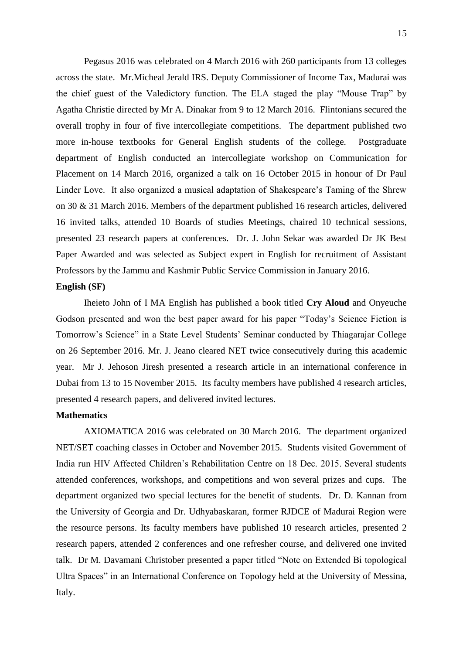Pegasus 2016 was celebrated on 4 March 2016 with 260 participants from 13 colleges across the state. Mr.Micheal Jerald IRS. Deputy Commissioner of Income Tax, Madurai was the chief guest of the Valedictory function. The ELA staged the play "Mouse Trap" by Agatha Christie directed by Mr A. Dinakar from 9 to 12 March 2016. Flintonians secured the overall trophy in four of five intercollegiate competitions. The department published two more in-house textbooks for General English students of the college. Postgraduate department of English conducted an intercollegiate workshop on Communication for Placement on 14 March 2016, organized a talk on 16 October 2015 in honour of Dr Paul Linder Love. It also organized a musical adaptation of Shakespeare's Taming of the Shrew on 30 & 31 March 2016. Members of the department published 16 research articles, delivered 16 invited talks, attended 10 Boards of studies Meetings, chaired 10 technical sessions, presented 23 research papers at conferences. Dr. J. John Sekar was awarded Dr JK Best Paper Awarded and was selected as Subject expert in English for recruitment of Assistant Professors by the Jammu and Kashmir Public Service Commission in January 2016.

# **English (SF)**

Iheieto John of I MA English has published a book titled **Cry Aloud** and Onyeuche Godson presented and won the best paper award for his paper "Today's Science Fiction is Tomorrow's Science" in a State Level Students' Seminar conducted by Thiagarajar College on 26 September 2016. Mr. J. Jeano cleared NET twice consecutively during this academic year. Mr J. Jehoson Jiresh presented a research article in an international conference in Dubai from 13 to 15 November 2015. Its faculty members have published 4 research articles, presented 4 research papers, and delivered invited lectures.

# **Mathematics**

AXIOMATICA 2016 was celebrated on 30 March 2016. The department organized NET/SET coaching classes in October and November 2015. Students visited Government of India run HIV Affected Children's Rehabilitation Centre on 18 Dec. 2015. Several students attended conferences, workshops, and competitions and won several prizes and cups. The department organized two special lectures for the benefit of students. Dr. D. Kannan from the University of Georgia and Dr. Udhyabaskaran, former RJDCE of Madurai Region were the resource persons. Its faculty members have published 10 research articles, presented 2 research papers, attended 2 conferences and one refresher course, and delivered one invited talk. Dr M. Davamani Christober presented a paper titled "Note on Extended Bi topological Ultra Spaces" in an International Conference on Topology held at the University of Messina, Italy.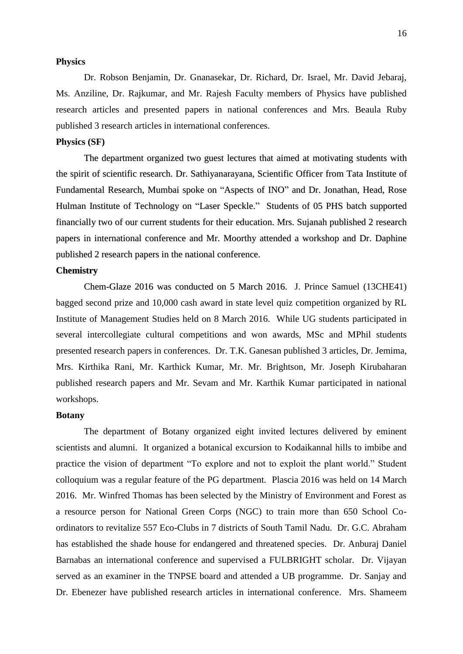#### **Physics**

Dr. Robson Benjamin, Dr. Gnanasekar, Dr. Richard, Dr. Israel, Mr. David Jebaraj, Ms. Anziline, Dr. Rajkumar, and Mr. Rajesh Faculty members of Physics have published research articles and presented papers in national conferences and Mrs. Beaula Ruby published 3 research articles in international conferences.

# **Physics (SF)**

The department organized two guest lectures that aimed at motivating students with the spirit of scientific research. Dr. Sathiyanarayana, Scientific Officer from Tata Institute of Fundamental Research, Mumbai spoke on "Aspects of INO" and Dr. Jonathan, Head, Rose Hulman Institute of Technology on "Laser Speckle." Students of 05 PHS batch supported financially two of our current students for their education. Mrs. Sujanah published 2 research papers in international conference and Mr. Moorthy attended a workshop and Dr. Daphine published 2 research papers in the national conference.

# **Chemistry**

Chem-Glaze 2016 was conducted on 5 March 2016. J. Prince Samuel (13CHE41) bagged second prize and 10,000 cash award in state level quiz competition organized by RL Institute of Management Studies held on 8 March 2016. While UG students participated in several intercollegiate cultural competitions and won awards, MSc and MPhil students presented research papers in conferences. Dr. T.K. Ganesan published 3 articles, Dr. Jemima, Mrs. Kirthika Rani, Mr. Karthick Kumar, Mr. Mr. Brightson, Mr. Joseph Kirubaharan published research papers and Mr. Sevam and Mr. Karthik Kumar participated in national workshops.

#### **Botany**

The department of Botany organized eight invited lectures delivered by eminent scientists and alumni. It organized a botanical excursion to Kodaikannal hills to imbibe and practice the vision of department "To explore and not to exploit the plant world." Student colloquium was a regular feature of the PG department. Plascia 2016 was held on 14 March 2016. Mr. Winfred Thomas has been selected by the Ministry of Environment and Forest as a resource person for National Green Corps (NGC) to train more than 650 School Coordinators to revitalize 557 Eco-Clubs in 7 districts of South Tamil Nadu. Dr. G.C. Abraham has established the shade house for endangered and threatened species. Dr. Anburaj Daniel Barnabas an international conference and supervised a FULBRIGHT scholar. Dr. Vijayan served as an examiner in the TNPSE board and attended a UB programme. Dr. Sanjay and Dr. Ebenezer have published research articles in international conference. Mrs. Shameem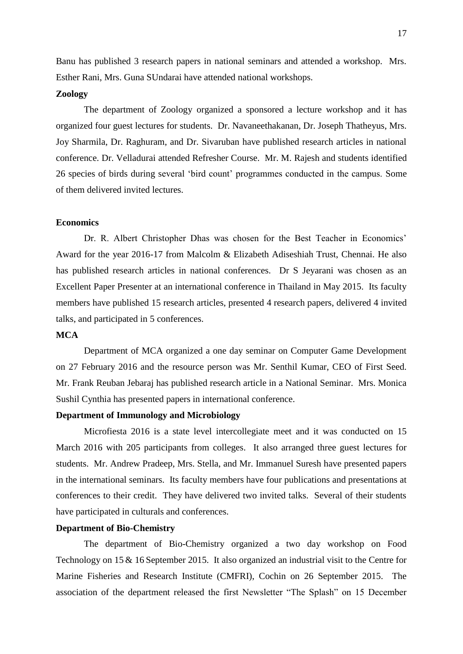Banu has published 3 research papers in national seminars and attended a workshop. Mrs. Esther Rani, Mrs. Guna SUndarai have attended national workshops.

## **Zoology**

The department of Zoology organized a sponsored a lecture workshop and it has organized four guest lectures for students. Dr. Navaneethakanan, Dr. Joseph Thatheyus, Mrs. Joy Sharmila, Dr. Raghuram, and Dr. Sivaruban have published research articles in national conference. Dr. Velladurai attended Refresher Course. Mr. M. Rajesh and students identified 26 species of birds during several 'bird count' programmes conducted in the campus. Some of them delivered invited lectures.

# **Economics**

Dr. R. Albert Christopher Dhas was chosen for the Best Teacher in Economics' Award for the year 2016-17 from Malcolm & Elizabeth Adiseshiah Trust, Chennai. He also has published research articles in national conferences. Dr S Jeyarani was chosen as an Excellent Paper Presenter at an international conference in Thailand in May 2015. Its faculty members have published 15 research articles, presented 4 research papers, delivered 4 invited talks, and participated in 5 conferences.

# **MCA**

Department of MCA organized a one day seminar on Computer Game Development on 27 February 2016 and the resource person was Mr. Senthil Kumar, CEO of First Seed. Mr. Frank Reuban Jebaraj has published research article in a National Seminar. Mrs. Monica Sushil Cynthia has presented papers in international conference.

# **Department of Immunology and Microbiology**

Microfiesta 2016 is a state level intercollegiate meet and it was conducted on 15 March 2016 with 205 participants from colleges. It also arranged three guest lectures for students. Mr. Andrew Pradeep, Mrs. Stella, and Mr. Immanuel Suresh have presented papers in the international seminars. Its faculty members have four publications and presentations at conferences to their credit. They have delivered two invited talks. Several of their students have participated in culturals and conferences.

# **Department of Bio-Chemistry**

The department of Bio-Chemistry organized a two day workshop on Food Technology on 15 & 16 September 2015. It also organized an industrial visit to the Centre for Marine Fisheries and Research Institute (CMFRI), Cochin on 26 September 2015. The association of the department released the first Newsletter "The Splash" on 15 December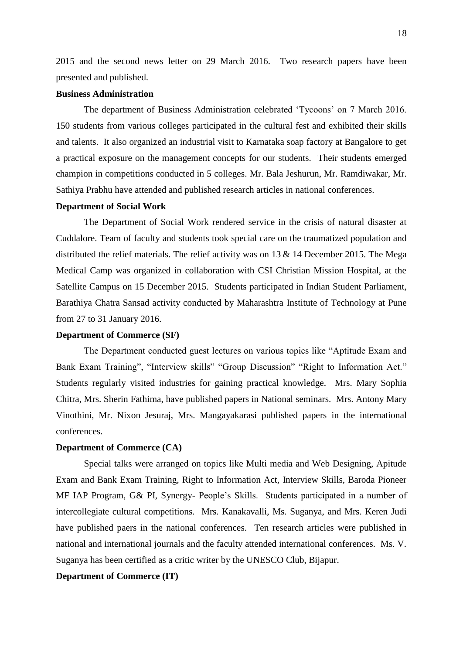2015 and the second news letter on 29 March 2016. Two research papers have been presented and published.

#### **Business Administration**

The department of Business Administration celebrated 'Tycoons' on 7 March 2016. 150 students from various colleges participated in the cultural fest and exhibited their skills and talents. It also organized an industrial visit to Karnataka soap factory at Bangalore to get a practical exposure on the management concepts for our students. Their students emerged champion in competitions conducted in 5 colleges. Mr. Bala Jeshurun, Mr. Ramdiwakar, Mr. Sathiya Prabhu have attended and published research articles in national conferences.

#### **Department of Social Work**

The Department of Social Work rendered service in the crisis of natural disaster at Cuddalore. Team of faculty and students took special care on the traumatized population and distributed the relief materials. The relief activity was on 13 & 14 December 2015. The Mega Medical Camp was organized in collaboration with CSI Christian Mission Hospital, at the Satellite Campus on 15 December 2015. Students participated in Indian Student Parliament, Barathiya Chatra Sansad activity conducted by Maharashtra Institute of Technology at Pune from 27 to 31 January 2016.

### **Department of Commerce (SF)**

The Department conducted guest lectures on various topics like "Aptitude Exam and Bank Exam Training", "Interview skills" "Group Discussion" "Right to Information Act." Students regularly visited industries for gaining practical knowledge. Mrs. Mary Sophia Chitra, Mrs. Sherin Fathima, have published papers in National seminars. Mrs. Antony Mary Vinothini, Mr. Nixon Jesuraj, Mrs. Mangayakarasi published papers in the international conferences.

# **Department of Commerce (CA)**

Special talks were arranged on topics like Multi media and Web Designing, Apitude Exam and Bank Exam Training, Right to Information Act, Interview Skills, Baroda Pioneer MF IAP Program, G& PI, Synergy- People's Skills. Students participated in a number of intercollegiate cultural competitions. Mrs. Kanakavalli, Ms. Suganya, and Mrs. Keren Judi have published paers in the national conferences. Ten research articles were published in national and international journals and the faculty attended international conferences. Ms. V. Suganya has been certified as a critic writer by the UNESCO Club, Bijapur.

# **Department of Commerce (IT)**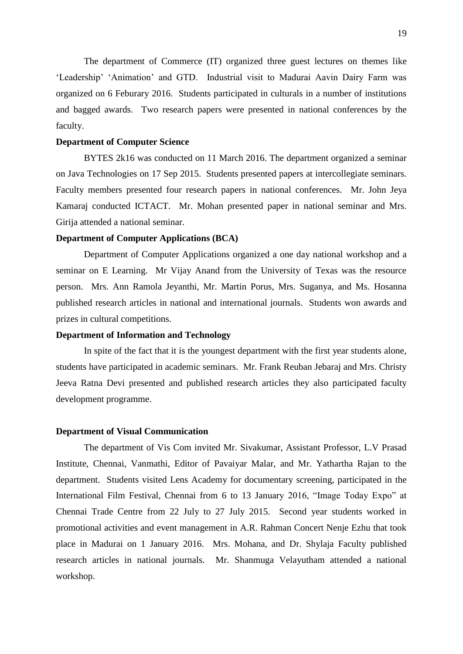The department of Commerce (IT) organized three guest lectures on themes like 'Leadership' 'Animation' and GTD. Industrial visit to Madurai Aavin Dairy Farm was organized on 6 Feburary 2016. Students participated in culturals in a number of institutions and bagged awards. Two research papers were presented in national conferences by the faculty.

### **Department of Computer Science**

BYTES 2k16 was conducted on 11 March 2016. The department organized a seminar on Java Technologies on 17 Sep 2015. Students presented papers at intercollegiate seminars. Faculty members presented four research papers in national conferences. Mr. John Jeya Kamaraj conducted ICTACT. Mr. Mohan presented paper in national seminar and Mrs. Girija attended a national seminar.

### **Department of Computer Applications (BCA)**

Department of Computer Applications organized a one day national workshop and a seminar on E Learning. Mr Vijay Anand from the University of Texas was the resource person. Mrs. Ann Ramola Jeyanthi, Mr. Martin Porus, Mrs. Suganya, and Ms. Hosanna published research articles in national and international journals. Students won awards and prizes in cultural competitions.

#### **Department of Information and Technology**

In spite of the fact that it is the youngest department with the first year students alone, students have participated in academic seminars. Mr. Frank Reuban Jebaraj and Mrs. Christy Jeeva Ratna Devi presented and published research articles they also participated faculty development programme.

#### **Department of Visual Communication**

The department of Vis Com invited Mr. Sivakumar, Assistant Professor, L.V Prasad Institute, Chennai, Vanmathi, Editor of Pavaiyar Malar, and Mr. Yathartha Rajan to the department. Students visited Lens Academy for documentary screening, participated in the International Film Festival, Chennai from 6 to 13 January 2016, "Image Today Expo" at Chennai Trade Centre from 22 July to 27 July 2015. Second year students worked in promotional activities and event management in A.R. Rahman Concert Nenje Ezhu that took place in Madurai on 1 January 2016. Mrs. Mohana, and Dr. Shylaja Faculty published research articles in national journals. Mr. Shanmuga Velayutham attended a national workshop.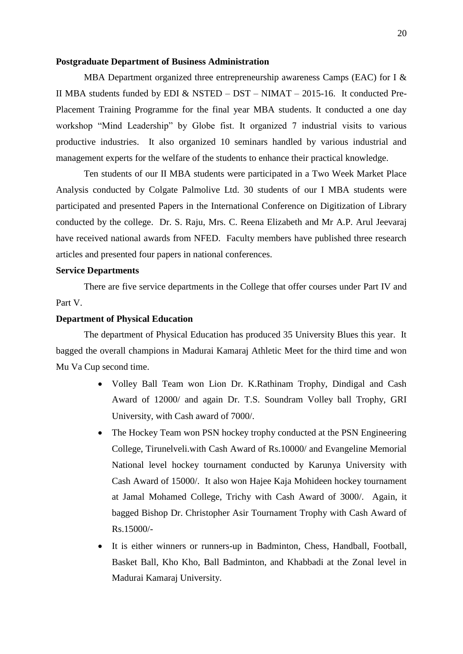#### **Postgraduate Department of Business Administration**

MBA Department organized three entrepreneurship awareness Camps (EAC) for I & II MBA students funded by EDI & NSTED – DST – NIMAT – 2015-16. It conducted Pre-Placement Training Programme for the final year MBA students. It conducted a one day workshop "Mind Leadership" by Globe fist. It organized 7 industrial visits to various productive industries. It also organized 10 seminars handled by various industrial and management experts for the welfare of the students to enhance their practical knowledge.

Ten students of our II MBA students were participated in a Two Week Market Place Analysis conducted by Colgate Palmolive Ltd. 30 students of our I MBA students were participated and presented Papers in the International Conference on Digitization of Library conducted by the college. Dr. S. Raju, Mrs. C. Reena Elizabeth and Mr A.P. Arul Jeevaraj have received national awards from NFED. Faculty members have published three research articles and presented four papers in national conferences.

# **Service Departments**

There are five service departments in the College that offer courses under Part IV and Part V.

# **Department of Physical Education**

The department of Physical Education has produced 35 University Blues this year. It bagged the overall champions in Madurai Kamaraj Athletic Meet for the third time and won Mu Va Cup second time.

- Volley Ball Team won Lion Dr. K.Rathinam Trophy, Dindigal and Cash Award of 12000/ and again Dr. T.S. Soundram Volley ball Trophy, GRI University, with Cash award of 7000/.
- The Hockey Team won PSN hockey trophy conducted at the PSN Engineering College, Tirunelveli.with Cash Award of Rs.10000/ and Evangeline Memorial National level hockey tournament conducted by Karunya University with Cash Award of 15000/. It also won Hajee Kaja Mohideen hockey tournament at Jamal Mohamed College, Trichy with Cash Award of 3000/. Again, it bagged Bishop Dr. Christopher Asir Tournament Trophy with Cash Award of Rs.15000/-
- It is either winners or runners-up in Badminton, Chess, Handball, Football, Basket Ball, Kho Kho, Ball Badminton, and Khabbadi at the Zonal level in Madurai Kamaraj University.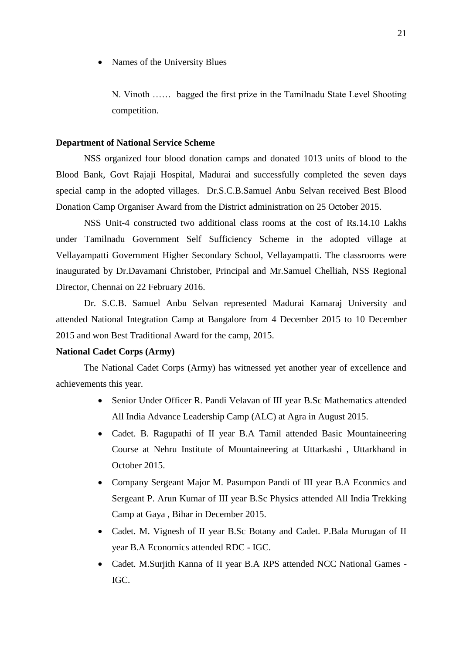Names of the University Blues

N. Vinoth …… bagged the first prize in the Tamilnadu State Level Shooting competition.

### **Department of National Service Scheme**

NSS organized four blood donation camps and donated 1013 units of blood to the Blood Bank, Govt Rajaji Hospital, Madurai and successfully completed the seven days special camp in the adopted villages. Dr.S.C.B.Samuel Anbu Selvan received Best Blood Donation Camp Organiser Award from the District administration on 25 October 2015.

NSS Unit-4 constructed two additional class rooms at the cost of Rs.14.10 Lakhs under Tamilnadu Government Self Sufficiency Scheme in the adopted village at Vellayampatti Government Higher Secondary School, Vellayampatti. The classrooms were inaugurated by Dr.Davamani Christober, Principal and Mr.Samuel Chelliah, NSS Regional Director, Chennai on 22 February 2016.

Dr. S.C.B. Samuel Anbu Selvan represented Madurai Kamaraj University and attended National Integration Camp at Bangalore from 4 December 2015 to 10 December 2015 and won Best Traditional Award for the camp, 2015.

# **National Cadet Corps (Army)**

The National Cadet Corps (Army) has witnessed yet another year of excellence and achievements this year.

- Senior Under Officer R. Pandi Velavan of III year B.Sc Mathematics attended All India Advance Leadership Camp (ALC) at Agra in August 2015.
- Cadet. B. Ragupathi of II year B.A Tamil attended Basic Mountaineering Course at Nehru Institute of Mountaineering at Uttarkashi , Uttarkhand in October 2015.
- Company Sergeant Major M. Pasumpon Pandi of III year B.A Econmics and Sergeant P. Arun Kumar of III year B.Sc Physics attended All India Trekking Camp at Gaya , Bihar in December 2015.
- Cadet. M. Vignesh of II year B.Sc Botany and Cadet. P.Bala Murugan of II year B.A Economics attended RDC - IGC.
- Cadet. M.Surjith Kanna of II year B.A RPS attended NCC National Games IGC.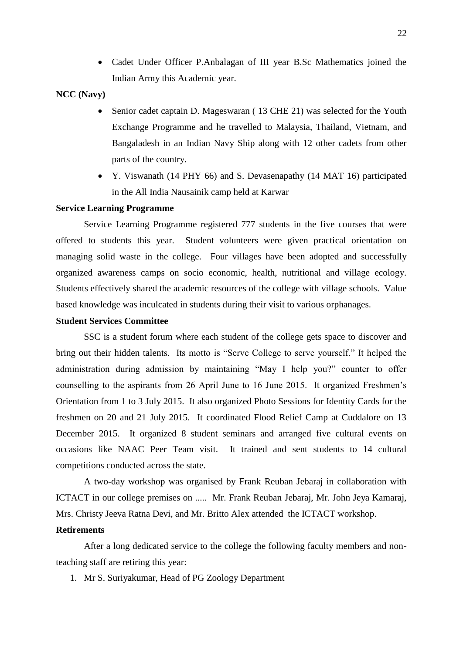Cadet Under Officer P.Anbalagan of III year B.Sc Mathematics joined the Indian Army this Academic year.

# **NCC (Navy)**

- Senior cadet captain D. Mageswaran ( 13 CHE 21) was selected for the Youth Exchange Programme and he travelled to Malaysia, Thailand, Vietnam, and Bangaladesh in an Indian Navy Ship along with 12 other cadets from other parts of the country.
- Y. Viswanath (14 PHY 66) and S. Devasenapathy (14 MAT 16) participated in the All India Nausainik camp held at Karwar

# **Service Learning Programme**

Service Learning Programme registered 777 students in the five courses that were offered to students this year. Student volunteers were given practical orientation on managing solid waste in the college.Four villages have been adopted and successfully organized awareness camps on socio economic, health, nutritional and village ecology. Students effectively shared the academic resources of the college with village schools. Value based knowledge was inculcated in students during their visit to various orphanages.

# **Student Services Committee**

SSC is a student forum where each student of the college gets space to discover and bring out their hidden talents. Its motto is "Serve College to serve yourself." It helped the administration during admission by maintaining "May I help you?" counter to offer counselling to the aspirants from 26 April June to 16 June 2015. It organized Freshmen's Orientation from 1 to 3 July 2015. It also organized Photo Sessions for Identity Cards for the freshmen on 20 and 21 July 2015. It coordinated Flood Relief Camp at Cuddalore on 13 December 2015. It organized 8 student seminars and arranged five cultural events on occasions like NAAC Peer Team visit. It trained and sent students to 14 cultural competitions conducted across the state.

A two-day workshop was organised by Frank Reuban Jebaraj in collaboration with ICTACT in our college premises on ..... Mr. Frank Reuban Jebaraj, Mr. John Jeya Kamaraj, Mrs. Christy Jeeva Ratna Devi, and Mr. Britto Alex attended the ICTACT workshop.

#### **Retirements**

After a long dedicated service to the college the following faculty members and nonteaching staff are retiring this year:

1. Mr S. Suriyakumar, Head of PG Zoology Department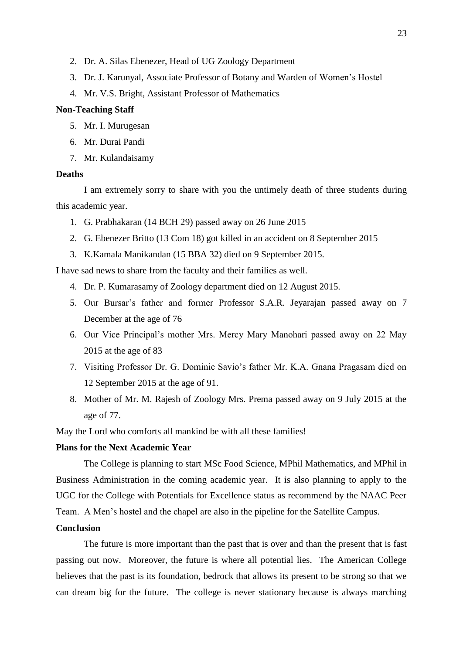- 2. Dr. A. Silas Ebenezer, Head of UG Zoology Department
- 3. Dr. J. Karunyal, Associate Professor of Botany and Warden of Women's Hostel
- 4. Mr. V.S. Bright, Assistant Professor of Mathematics

### **Non-Teaching Staff**

- 5. Mr. I. Murugesan
- 6. Mr. Durai Pandi
- 7. Mr. Kulandaisamy

# **Deaths**

I am extremely sorry to share with you the untimely death of three students during this academic year.

- 1. G. Prabhakaran (14 BCH 29) passed away on 26 June 2015
- 2. G. Ebenezer Britto (13 Com 18) got killed in an accident on 8 September 2015
- 3. K.Kamala Manikandan (15 BBA 32) died on 9 September 2015.

I have sad news to share from the faculty and their families as well.

- 4. Dr. P. Kumarasamy of Zoology department died on 12 August 2015.
- 5. Our Bursar's father and former Professor S.A.R. Jeyarajan passed away on 7 December at the age of 76
- 6. Our Vice Principal's mother Mrs. Mercy Mary Manohari passed away on 22 May 2015 at the age of 83
- 7. Visiting Professor Dr. G. Dominic Savio's father Mr. K.A. Gnana Pragasam died on 12 September 2015 at the age of 91.
- 8. Mother of Mr. M. Rajesh of Zoology Mrs. Prema passed away on 9 July 2015 at the age of 77.

May the Lord who comforts all mankind be with all these families!

# **Plans for the Next Academic Year**

The College is planning to start MSc Food Science, MPhil Mathematics, and MPhil in Business Administration in the coming academic year. It is also planning to apply to the UGC for the College with Potentials for Excellence status as recommend by the NAAC Peer Team. A Men's hostel and the chapel are also in the pipeline for the Satellite Campus.

# **Conclusion**

The future is more important than the past that is over and than the present that is fast passing out now. Moreover, the future is where all potential lies. The American College believes that the past is its foundation, bedrock that allows its present to be strong so that we can dream big for the future. The college is never stationary because is always marching